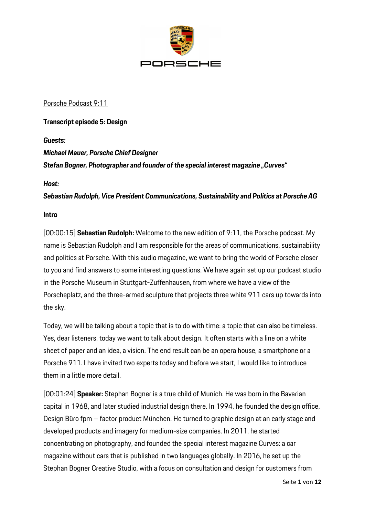

# Porsche Podcast 9:11

# **Transcript episode 5: Design**

## *Guests:*

#### *Michael Mauer, Porsche Chief Designer*

*Stefan Bogner, Photographer and founder of the special interest magazine "Curves"*

#### *Host:*

*Sebastian Rudolph, Vice President Communications, Sustainability and Politics at Porsche AG*

## **Intro**

[00:00:15] **Sebastian Rudolph:** Welcome to the new edition of 9:11, the Porsche podcast. My name is Sebastian Rudolph and I am responsible for the areas of communications, sustainability and politics at Porsche. With this audio magazine, we want to bring the world of Porsche closer to you and find answers to some interesting questions. We have again set up our podcast studio in the Porsche Museum in Stuttgart-Zuffenhausen, from where we have a view of the Porscheplatz, and the three-armed sculpture that projects three white 911 cars up towards into the sky.

Today, we will be talking about a topic that is to do with time: a topic that can also be timeless. Yes, dear listeners, today we want to talk about design. It often starts with a line on a white sheet of paper and an idea, a vision. The end result can be an opera house, a smartphone or a Porsche 911. I have invited two experts today and before we start, I would like to introduce them in a little more detail.

[00:01:24] **Speaker:** Stephan Bogner is a true child of Munich. He was born in the Bavarian capital in 1968, and later studied industrial design there. In 1994, he founded the design office, Design Büro fpm – factor product München. He turned to graphic design at an early stage and developed products and imagery for medium-size companies. In 2011, he started concentrating on photography, and founded the special interest magazine Curves: a car magazine without cars that is published in two languages globally. In 2016, he set up the Stephan Bogner Creative Studio, with a focus on consultation and design for customers from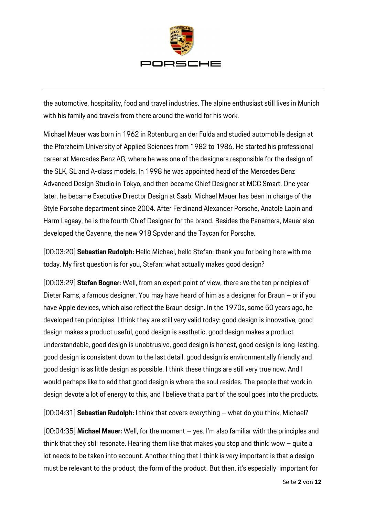

the automotive, hospitality, food and travel industries. The alpine enthusiast still lives in Munich with his family and travels from there around the world for his work.

Michael Mauer was born in 1962 in Rotenburg an der Fulda and studied automobile design at the Pforzheim University of Applied Sciences from 1982 to 1986. He started his professional career at Mercedes Benz AG, where he was one of the designers responsible for the design of the SLK, SL and A-class models. In 1998 he was appointed head of the Mercedes Benz Advanced Design Studio in Tokyo, and then became Chief Designer at MCC Smart. One year later, he became Executive Director Design at Saab. Michael Mauer has been in charge of the Style Porsche department since 2004. After Ferdinand Alexander Porsche, Anatole Lapin and Harm Lagaay, he is the fourth Chief Designer for the brand. Besides the Panamera, Mauer also developed the Cayenne, the new 918 Spyder and the Taycan for Porsche.

[00:03:20] **Sebastian Rudolph:** Hello Michael, hello Stefan: thank you for being here with me today. My first question is for you, Stefan: what actually makes good design?

[00:03:29] **Stefan Bogner:** Well, from an expert point of view, there are the ten principles of Dieter Rams, a famous designer. You may have heard of him as a designer for Braun – or if you have Apple devices, which also reflect the Braun design. In the 1970s, some 50 years ago, he developed ten principles. I think they are still very valid today: good design is innovative, good design makes a product useful, good design is aesthetic, good design makes a product understandable, good design is unobtrusive, good design is honest, good design is long-lasting, good design is consistent down to the last detail, good design is environmentally friendly and good design is as little design as possible. I think these things are still very true now. And I would perhaps like to add that good design is where the soul resides. The people that work in design devote a lot of energy to this, and I believe that a part of the soul goes into the products.

[00:04:31] **Sebastian Rudolph:** I think that covers everything – what do you think, Michael?

[00:04:35] **Michael Mauer:** Well, for the moment – yes. I'm also familiar with the principles and think that they still resonate. Hearing them like that makes you stop and think: wow – quite a lot needs to be taken into account. Another thing that I think is very important is that a design must be relevant to the product, the form of the product. But then, it's especially important for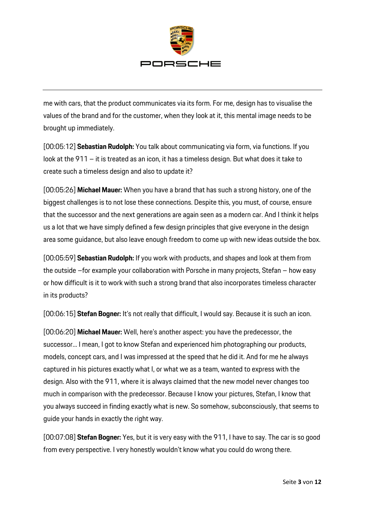

me with cars, that the product communicates via its form. For me, design has to visualise the values of the brand and for the customer, when they look at it, this mental image needs to be brought up immediately.

[00:05:12] **Sebastian Rudolph:** You talk about communicating via form, via functions. If you look at the 911 – it is treated as an icon, it has a timeless design. But what does it take to create such a timeless design and also to update it?

[00:05:26] **Michael Mauer:** When you have a brand that has such a strong history, one of the biggest challenges is to not lose these connections. Despite this, you must, of course, ensure that the successor and the next generations are again seen as a modern car. And I think it helps us a lot that we have simply defined a few design principles that give everyone in the design area some guidance, but also leave enough freedom to come up with new ideas outside the box.

[00:05:59] **Sebastian Rudolph:** If you work with products, and shapes and look at them from the outside –for example your collaboration with Porsche in many projects, Stefan – how easy or how difficult is it to work with such a strong brand that also incorporates timeless character in its products?

[00:06:15] **Stefan Bogner:** It's not really that difficult, I would say. Because it is such an icon.

[00:06:20] **Michael Mauer:** Well, here's another aspect: you have the predecessor, the successor... I mean, I got to know Stefan and experienced him photographing our products, models, concept cars, and I was impressed at the speed that he did it. And for me he always captured in his pictures exactly what I, or what we as a team, wanted to express with the design. Also with the 911, where it is always claimed that the new model never changes too much in comparison with the predecessor. Because I know your pictures, Stefan, I know that you always succeed in finding exactly what is new. So somehow, subconsciously, that seems to guide your hands in exactly the right way.

[00:07:08] **Stefan Bogner:** Yes, but it is very easy with the 911, I have to say. The car is so good from every perspective. I very honestly wouldn't know what you could do wrong there.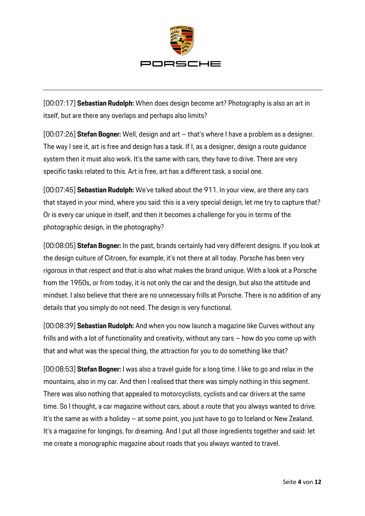

[00:07:17] **Sebastian Rudolph:** When does design become art? Photography is also an art in itself, but are there any overlaps and perhaps also limits?

[00:07:26] **Stefan Bogner:** Well, design and art – that's where I have a problem as a designer. The way I see it, art is free and design has a task. If I, as a designer, design a route guidance system then it must also work. It's the same with cars, they have to drive. There are very specific tasks related to this. Art is free, art has a different task, a social one.

[00:07:45] **Sebastian Rudolph:** We've talked about the 911. In your view, are there any cars that stayed in your mind, where you said: this is a very special design, let me try to capture that? Or is every car unique in itself, and then it becomes a challenge for you in terms of the photographic design, in the photography?

[00:08:05] **Stefan Bogner:** In the past, brands certainly had very different designs. If you look at the design culture of Citroen, for example, it's not there at all today. Porsche has been very rigorous in that respect and that is also what makes the brand unique. With a look at a Porsche from the 1950s, or from today, it is not only the car and the design, but also the attitude and mindset. I also believe that there are no unnecessary frills at Porsche. There is no addition of any details that you simply do not need. The design is very functional.

[00:08:39] **Sebastian Rudolph:** And when you now launch a magazine like Curves without any frills and with a lot of functionality and creativity, without any cars – how do you come up with that and what was the special thing, the attraction for you to do something like that?

[00:08:53] **Stefan Bogner:** I was also a travel guide for a long time. I like to go and relax in the mountains, also in my car. And then I realised that there was simply nothing in this segment. There was also nothing that appealed to motorcyclists, cyclists and car drivers at the same time. So I thought, a car magazine without cars, about a route that you always wanted to drive. It's the same as with a holiday – at some point, you just have to go to Iceland or New Zealand. It's a magazine for longings, for dreaming. And I put all those ingredients together and said: let me create a monographic magazine about roads that you always wanted to travel.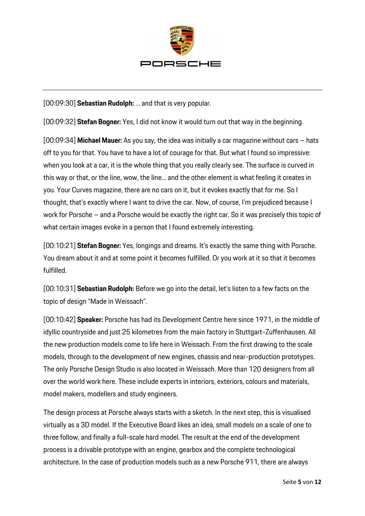

[00:09:30] **Sebastian Rudolph:** … and that is very popular.

[00:09:32] **Stefan Bogner:** Yes, I did not know it would turn out that way in the beginning.

[00:09:34] **Michael Mauer:** As you say, the idea was initially a car magazine without cars – hats off to you for that. You have to have a lot of courage for that. But what I found so impressive: when you look at a car, it is the whole thing that you really clearly see. The surface is curved in this way or that, or the line, wow, the line... and the other element is what feeling it creates in you. Your Curves magazine, there are no cars on it, but it evokes exactly that for me. So I thought, that's exactly where I want to drive the car. Now, of course, I'm prejudiced because I work for Porsche – and a Porsche would be exactly the right car. So it was precisely this topic of what certain images evoke in a person that I found extremely interesting.

[00:10:21] **Stefan Bogner:** Yes, longings and dreams. It's exactly the same thing with Porsche. You dream about it and at some point it becomes fulfilled. Or you work at it so that it becomes fulfilled.

[00:10:31] **Sebastian Rudolph:** Before we go into the detail, let's listen to a few facts on the topic of design "Made in Weissach".

[00:10:42] **Speaker:** Porsche has had its Development Centre here since 1971, in the middle of idyllic countryside and just 25 kilometres from the main factory in Stuttgart-Zuffenhausen. All the new production models come to life here in Weissach. From the first drawing to the scale models, through to the development of new engines, chassis and near-production prototypes. The only Porsche Design Studio is also located in Weissach. More than 120 designers from all over the world work here. These include experts in interiors, exteriors, colours and materials, model makers, modellers and study engineers.

The design process at Porsche always starts with a sketch. In the next step, this is visualised virtually as a 3D model. If the Executive Board likes an idea, small models on a scale of one to three follow, and finally a full-scale hard model. The result at the end of the development process is a drivable prototype with an engine, gearbox and the complete technological architecture. In the case of production models such as a new Porsche 911, there are always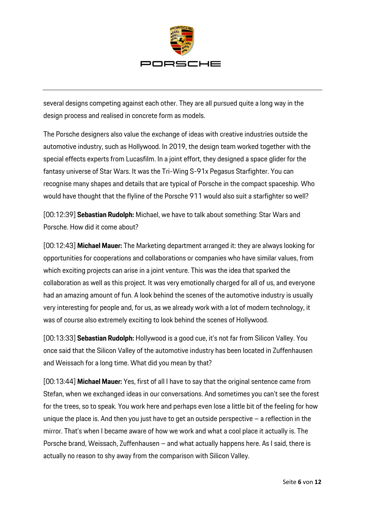

several designs competing against each other. They are all pursued quite a long way in the design process and realised in concrete form as models.

The Porsche designers also value the exchange of ideas with creative industries outside the automotive industry, such as Hollywood. In 2019, the design team worked together with the special effects experts from Lucasfilm. In a joint effort, they designed a space glider for the fantasy universe of Star Wars. It was the Tri-Wing S-91x Pegasus Starfighter. You can recognise many shapes and details that are typical of Porsche in the compact spaceship. Who would have thought that the flyline of the Porsche 911 would also suit a starfighter so well?

[00:12:39] **Sebastian Rudolph:** Michael, we have to talk about something: Star Wars and Porsche. How did it come about?

[00:12:43] **Michael Mauer:** The Marketing department arranged it: they are always looking for opportunities for cooperations and collaborations or companies who have similar values, from which exciting projects can arise in a joint venture. This was the idea that sparked the collaboration as well as this project. It was very emotionally charged for all of us, and everyone had an amazing amount of fun. A look behind the scenes of the automotive industry is usually very interesting for people and, for us, as we already work with a lot of modern technology, it was of course also extremely exciting to look behind the scenes of Hollywood.

[00:13:33] **Sebastian Rudolph:** Hollywood is a good cue, it's not far from Silicon Valley. You once said that the Silicon Valley of the automotive industry has been located in Zuffenhausen and Weissach for a long time. What did you mean by that?

[00:13:44] **Michael Mauer:** Yes, first of all I have to say that the original sentence came from Stefan, when we exchanged ideas in our conversations. And sometimes you can't see the forest for the trees, so to speak. You work here and perhaps even lose a little bit of the feeling for how unique the place is. And then you just have to get an outside perspective  $-$  a reflection in the mirror. That's when I became aware of how we work and what a cool place it actually is. The Porsche brand, Weissach, Zuffenhausen – and what actually happens here. As I said, there is actually no reason to shy away from the comparison with Silicon Valley.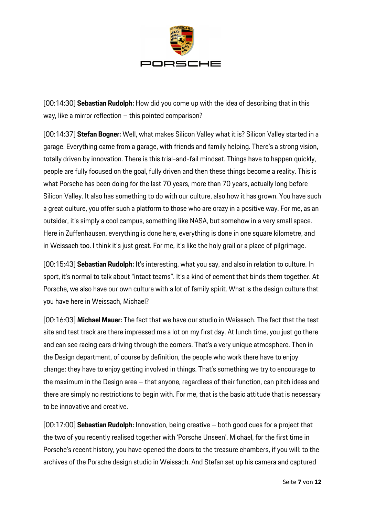

[00:14:30] **Sebastian Rudolph:** How did you come up with the idea of describing that in this way, like a mirror reflection – this pointed comparison?

[00:14:37] **Stefan Bogner:** Well, what makes Silicon Valley what it is? Silicon Valley started in a garage. Everything came from a garage, with friends and family helping. There's a strong vision, totally driven by innovation. There is this trial-and-fail mindset. Things have to happen quickly, people are fully focused on the goal, fully driven and then these things become a reality. This is what Porsche has been doing for the last 70 years, more than 70 years, actually long before Silicon Valley. It also has something to do with our culture, also how it has grown. You have such a great culture, you offer such a platform to those who are crazy in a positive way. For me, as an outsider, it's simply a cool campus, something like NASA, but somehow in a very small space. Here in Zuffenhausen, everything is done here, everything is done in one square kilometre, and in Weissach too. I think it's just great. For me, it's like the holy grail or a place of pilgrimage.

[00:15:43] **Sebastian Rudolph:** It's interesting, what you say, and also in relation to culture. In sport, it's normal to talk about "intact teams". It's a kind of cement that binds them together. At Porsche, we also have our own culture with a lot of family spirit. What is the design culture that you have here in Weissach, Michael?

[00:16:03] **Michael Mauer:** The fact that we have our studio in Weissach. The fact that the test site and test track are there impressed me a lot on my first day. At lunch time, you just go there and can see racing cars driving through the corners. That's a very unique atmosphere. Then in the Design department, of course by definition, the people who work there have to enjoy change: they have to enjoy getting involved in things. That's something we try to encourage to the maximum in the Design area – that anyone, regardless of their function, can pitch ideas and there are simply no restrictions to begin with. For me, that is the basic attitude that is necessary to be innovative and creative.

[00:17:00] **Sebastian Rudolph:** Innovation, being creative – both good cues for a project that the two of you recently realised together with 'Porsche Unseen'. Michael, for the first time in Porsche's recent history, you have opened the doors to the treasure chambers, if you will: to the archives of the Porsche design studio in Weissach. And Stefan set up his camera and captured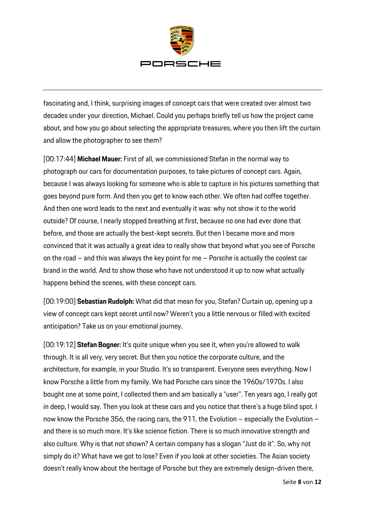

fascinating and, I think, surprising images of concept cars that were created over almost two decades under your direction, Michael. Could you perhaps briefly tell us how the project came about, and how you go about selecting the appropriate treasures, where you then lift the curtain and allow the photographer to see them?

[00:17:44] **Michael Mauer:** First of all, we commissioned Stefan in the normal way to photograph our cars for documentation purposes, to take pictures of concept cars. Again, because I was always looking for someone who is able to capture in his pictures something that goes beyond pure form. And then you get to know each other. We often had coffee together. And then one word leads to the next and eventually it was: why not show it to the world outside? Of course, I nearly stopped breathing at first, because no one had ever done that before, and those are actually the best-kept secrets. But then I became more and more convinced that it was actually a great idea to really show that beyond what you see of Porsche on the road – and this was always the key point for me – Porsche is actually the coolest car brand in the world. And to show those who have not understood it up to now what actually happens behind the scenes, with these concept cars.

[00:19:00] **Sebastian Rudolph:** What did that mean for you, Stefan? Curtain up, opening up a view of concept cars kept secret until now? Weren't you a little nervous or filled with excited anticipation? Take us on your emotional journey.

[00:19:12] **Stefan Bogner:** It's quite unique when you see it, when you're allowed to walk through. It is all very, very secret. But then you notice the corporate culture, and the architecture, for example, in your Studio. It's so transparent. Everyone sees everything. Now I know Porsche a little from my family. We had Porsche cars since the 1960s/1970s. I also bought one at some point, I collected them and am basically a "user". Ten years ago, I really got in deep, I would say. Then you look at these cars and you notice that there's a huge blind spot. I now know the Porsche 356, the racing cars, the 911, the Evolution – especially the Evolution – and there is so much more. It's like science fiction. There is so much innovative strength and also culture. Why is that not shown? A certain company has a slogan "Just do it". So, why not simply do it? What have we got to lose? Even if you look at other societies. The Asian society doesn't really know about the heritage of Porsche but they are extremely design-driven there,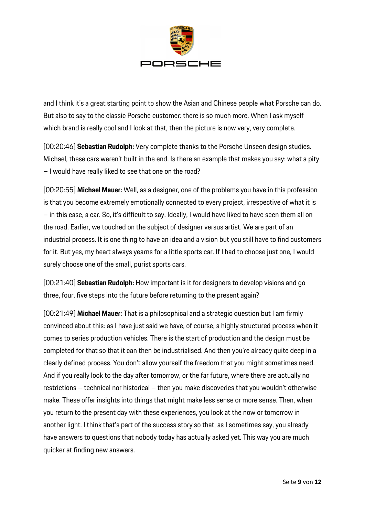

and I think it's a great starting point to show the Asian and Chinese people what Porsche can do. But also to say to the classic Porsche customer: there is so much more. When I ask myself which brand is really cool and I look at that, then the picture is now very, very complete.

[00:20:46] **Sebastian Rudolph:** Very complete thanks to the Porsche Unseen design studies. Michael, these cars weren't built in the end. Is there an example that makes you say: what a pity – I would have really liked to see that one on the road?

[00:20:55] **Michael Mauer:** Well, as a designer, one of the problems you have in this profession is that you become extremely emotionally connected to every project, irrespective of what it is – in this case, a car. So, it's difficult to say. Ideally, I would have liked to have seen them all on the road. Earlier, we touched on the subject of designer versus artist. We are part of an industrial process. It is one thing to have an idea and a vision but you still have to find customers for it. But yes, my heart always yearns for a little sports car. If I had to choose just one, I would surely choose one of the small, purist sports cars.

[00:21:40] **Sebastian Rudolph:** How important is it for designers to develop visions and go three, four, five steps into the future before returning to the present again?

[00:21:49] **Michael Mauer:** That is a philosophical and a strategic question but I am firmly convinced about this: as I have just said we have, of course, a highly structured process when it comes to series production vehicles. There is the start of production and the design must be completed for that so that it can then be industrialised. And then you're already quite deep in a clearly defined process. You don't allow yourself the freedom that you might sometimes need. And if you really look to the day after tomorrow, or the far future, where there are actually no restrictions – technical nor historical – then you make discoveries that you wouldn't otherwise make. These offer insights into things that might make less sense or more sense. Then, when you return to the present day with these experiences, you look at the now or tomorrow in another light. I think that's part of the success story so that, as I sometimes say, you already have answers to questions that nobody today has actually asked yet. This way you are much quicker at finding new answers.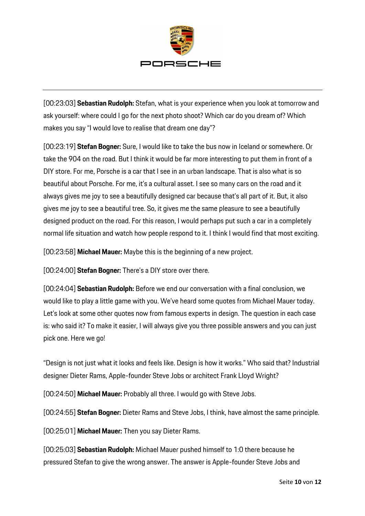

[00:23:03] **Sebastian Rudolph:** Stefan, what is your experience when you look at tomorrow and ask yourself: where could I go for the next photo shoot? Which car do you dream of? Which makes you say "I would love to realise that dream one day"?

[00:23:19] **Stefan Bogner:** Sure, I would like to take the bus now in Iceland or somewhere. Or take the 904 on the road. But I think it would be far more interesting to put them in front of a DIY store. For me, Porsche is a car that I see in an urban landscape. That is also what is so beautiful about Porsche. For me, it's a cultural asset. I see so many cars on the road and it always gives me joy to see a beautifully designed car because that's all part of it. But, it also gives me joy to see a beautiful tree. So, it gives me the same pleasure to see a beautifully designed product on the road. For this reason, I would perhaps put such a car in a completely normal life situation and watch how people respond to it. I think I would find that most exciting.

[00:23:58] **Michael Mauer:** Maybe this is the beginning of a new project.

[00:24:00] **Stefan Bogner:** There's a DIY store over there.

[00:24:04] **Sebastian Rudolph:** Before we end our conversation with a final conclusion, we would like to play a little game with you. We've heard some quotes from Michael Mauer today. Let's look at some other quotes now from famous experts in design. The question in each case is: who said it? To make it easier, I will always give you three possible answers and you can just pick one. Here we go!

"Design is not just what it looks and feels like. Design is how it works." Who said that? Industrial designer Dieter Rams, Apple-founder Steve Jobs or architect Frank Lloyd Wright?

[00:24:50] **Michael Mauer:** Probably all three. I would go with Steve Jobs.

[00:24:55] **Stefan Bogner:** Dieter Rams and Steve Jobs, I think, have almost the same principle.

[00:25:01] **Michael Mauer:** Then you say Dieter Rams.

[00:25:03] **Sebastian Rudolph:** Michael Mauer pushed himself to 1:0 there because he pressured Stefan to give the wrong answer. The answer is Apple-founder Steve Jobs and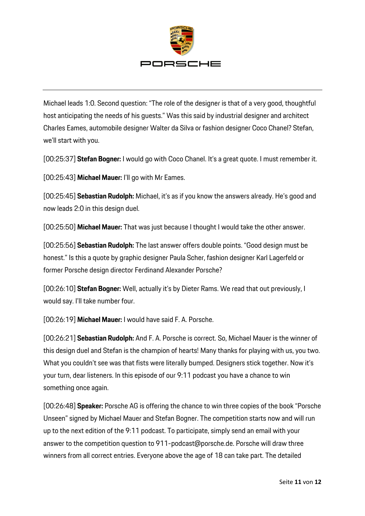

Michael leads 1:0. Second question: "The role of the designer is that of a very good, thoughtful host anticipating the needs of his guests." Was this said by industrial designer and architect Charles Eames, automobile designer Walter da Silva or fashion designer Coco Chanel? Stefan, we'll start with you.

[00:25:37] **Stefan Bogner:** I would go with Coco Chanel. It's a great quote. I must remember it.

[00:25:43] **Michael Mauer:** I'll go with Mr Eames.

[00:25:45] **Sebastian Rudolph:** Michael, it's as if you know the answers already. He's good and now leads 2:0 in this design duel.

[00:25:50] **Michael Mauer:** That was just because I thought I would take the other answer.

[00:25:56] **Sebastian Rudolph:** The last answer offers double points. "Good design must be honest." Is this a quote by graphic designer Paula Scher, fashion designer Karl Lagerfeld or former Porsche design director Ferdinand Alexander Porsche?

[00:26:10] **Stefan Bogner:** Well, actually it's by Dieter Rams. We read that out previously, I would say. I'll take number four.

[00:26:19] **Michael Mauer:** I would have said F. A. Porsche.

[00:26:21] **Sebastian Rudolph:** And F. A. Porsche is correct. So, Michael Mauer is the winner of this design duel and Stefan is the champion of hearts! Many thanks for playing with us, you two. What you couldn't see was that fists were literally bumped. Designers stick together. Now it's your turn, dear listeners. In this episode of our 9:11 podcast you have a chance to win something once again.

[00:26:48] **Speaker:** Porsche AG is offering the chance to win three copies of the book "Porsche Unseen" signed by Michael Mauer and Stefan Bogner. The competition starts now and will run up to the next edition of the 9:11 podcast. To participate, simply send an email with your answer to the competition question to 911-podcast@porsche.de. Porsche will draw three winners from all correct entries. Everyone above the age of 18 can take part. The detailed